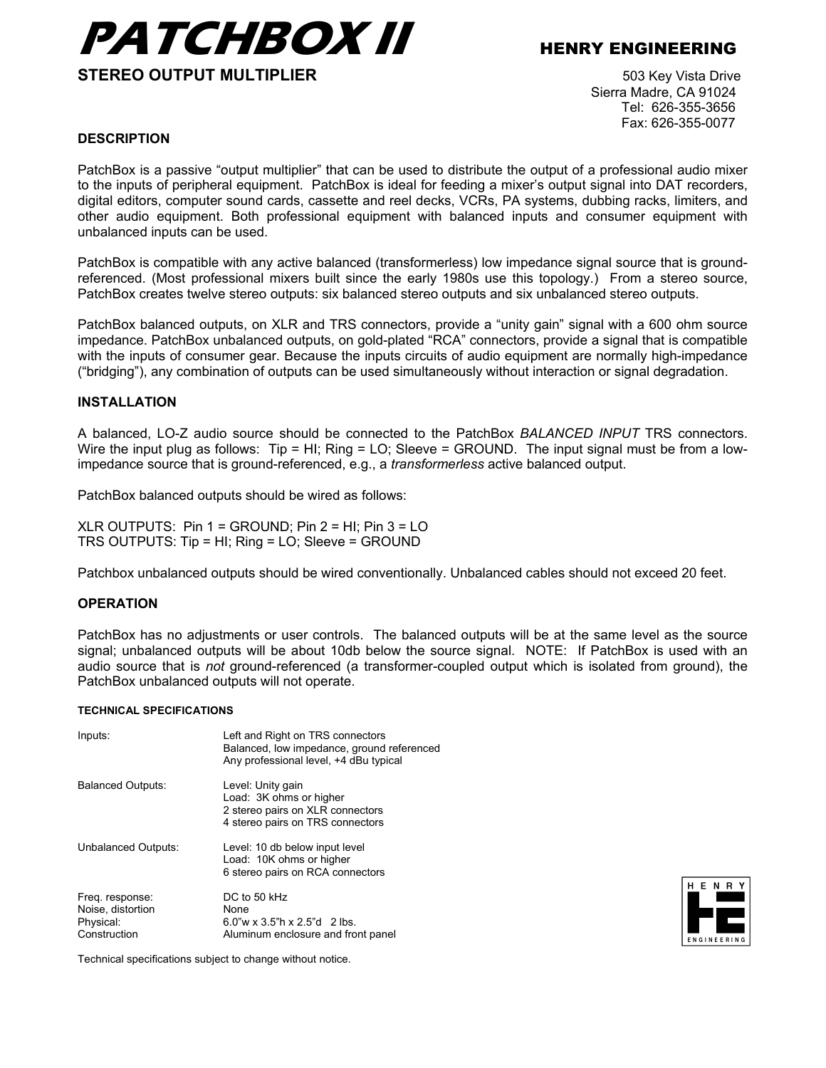

 Sierra Madre, CA 91024 Tel: 626-355-3656 Fax: 626-355-0077

## **DESCRIPTION**

PatchBox is a passive "output multiplier" that can be used to distribute the output of a professional audio mixer to the inputs of peripheral equipment. PatchBox is ideal for feeding a mixer's output signal into DAT recorders, digital editors, computer sound cards, cassette and reel decks, VCRs, PA systems, dubbing racks, limiters, and other audio equipment. Both professional equipment with balanced inputs and consumer equipment with unbalanced inputs can be used.

PatchBox is compatible with any active balanced (transformerless) low impedance signal source that is groundreferenced. (Most professional mixers built since the early 1980s use this topology.) From a stereo source, PatchBox creates twelve stereo outputs: six balanced stereo outputs and six unbalanced stereo outputs.

PatchBox balanced outputs, on XLR and TRS connectors, provide a "unity gain" signal with a 600 ohm source impedance. PatchBox unbalanced outputs, on gold-plated "RCA" connectors, provide a signal that is compatible with the inputs of consumer gear. Because the inputs circuits of audio equipment are normally high-impedance ("bridging"), any combination of outputs can be used simultaneously without interaction or signal degradation.

## **INSTALLATION**

A balanced, LO-Z audio source should be connected to the PatchBox *BALANCED INPUT* TRS connectors. Wire the input plug as follows: Tip = HI; Ring = LO; Sleeve = GROUND. The input signal must be from a lowimpedance source that is ground-referenced, e.g., a *transformerless* active balanced output.

PatchBox balanced outputs should be wired as follows:

XLR OUTPUTS: Pin 1 = GROUND; Pin 2 = HI; Pin 3 = LO TRS OUTPUTS: Tip = HI; Ring = LO; Sleeve = GROUND

Patchbox unbalanced outputs should be wired conventionally. Unbalanced cables should not exceed 20 feet.

## **OPERATION**

PatchBox has no adjustments or user controls. The balanced outputs will be at the same level as the source signal; unbalanced outputs will be about 10db below the source signal. NOTE: If PatchBox is used with an audio source that is *not* ground-referenced (a transformer-coupled output which is isolated from ground), the PatchBox unbalanced outputs will not operate.

## **TECHNICAL SPECIFICATIONS**

| Inputs:                                                           | Left and Right on TRS connectors<br>Balanced, low impedance, ground referenced<br>Any professional level, +4 dBu typical |
|-------------------------------------------------------------------|--------------------------------------------------------------------------------------------------------------------------|
| <b>Balanced Outputs:</b>                                          | Level: Unity gain<br>Load: 3K ohms or higher<br>2 stereo pairs on XLR connectors<br>4 stereo pairs on TRS connectors     |
| Unbalanced Outputs:                                               | Level: 10 db below input level<br>Load: 10K ohms or higher<br>6 stereo pairs on RCA connectors                           |
| Freq. response:<br>Noise, distortion<br>Physical:<br>Construction | DC to 50 kHz<br>None<br>$6.0$ "w x 3.5"h x 2.5"d 2 lbs.<br>Aluminum enclosure and front panel                            |



Technical specifications subject to change without notice.